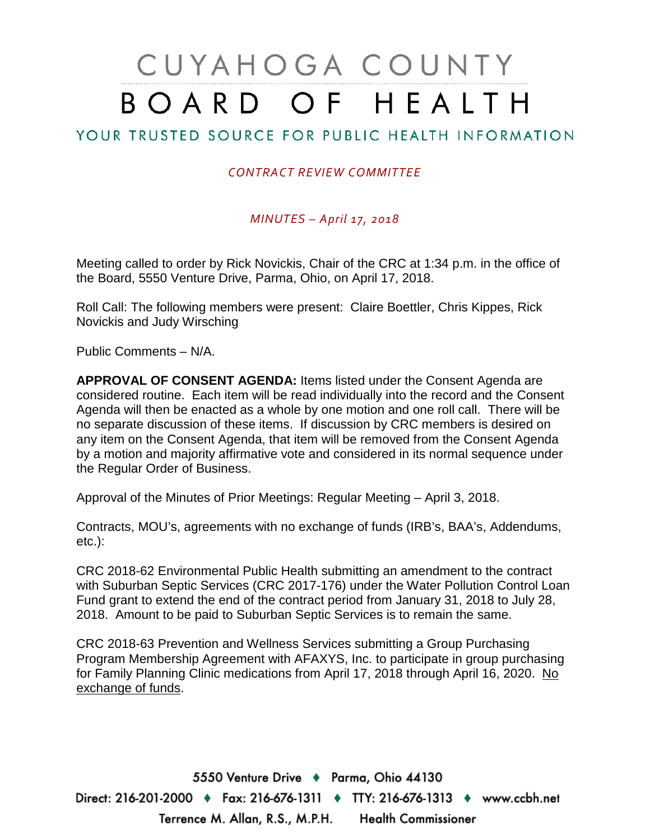# CUYAHOGA COUNTY BOARD OF HEALTH

# YOUR TRUSTED SOURCE FOR PUBLIC HEALTH INFORMATION

## *CONTRACT REVIEW COMMITTEE*

### *MINUTES – April 17, 2018*

Meeting called to order by Rick Novickis, Chair of the CRC at 1:34 p.m. in the office of the Board, 5550 Venture Drive, Parma, Ohio, on April 17, 2018.

Roll Call: The following members were present: Claire Boettler, Chris Kippes, Rick Novickis and Judy Wirsching

Public Comments – N/A.

**APPROVAL OF CONSENT AGENDA:** Items listed under the Consent Agenda are considered routine. Each item will be read individually into the record and the Consent Agenda will then be enacted as a whole by one motion and one roll call. There will be no separate discussion of these items. If discussion by CRC members is desired on any item on the Consent Agenda, that item will be removed from the Consent Agenda by a motion and majority affirmative vote and considered in its normal sequence under the Regular Order of Business.

Approval of the Minutes of Prior Meetings: Regular Meeting – April 3, 2018.

Contracts, MOU's, agreements with no exchange of funds (IRB's, BAA's, Addendums, etc.):

CRC 2018-62 Environmental Public Health submitting an amendment to the contract with Suburban Septic Services (CRC 2017-176) under the Water Pollution Control Loan Fund grant to extend the end of the contract period from January 31, 2018 to July 28, 2018. Amount to be paid to Suburban Septic Services is to remain the same.

CRC 2018-63 Prevention and Wellness Services submitting a Group Purchasing Program Membership Agreement with AFAXYS, Inc. to participate in group purchasing for Family Planning Clinic medications from April 17, 2018 through April 16, 2020. No exchange of funds.

5550 Venture Drive + Parma, Ohio 44130 Direct: 216-201-2000 ♦ Fax: 216-676-1311 ♦ TTY: 216-676-1313 ♦ www.ccbh.net Terrence M. Allan, R.S., M.P.H. Health Commissioner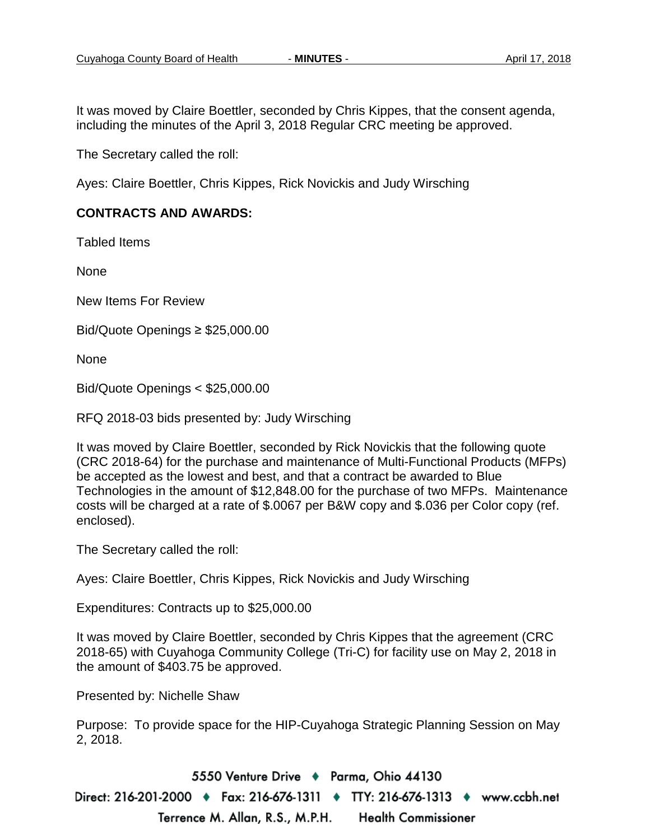It was moved by Claire Boettler, seconded by Chris Kippes, that the consent agenda, including the minutes of the April 3, 2018 Regular CRC meeting be approved.

The Secretary called the roll:

Ayes: Claire Boettler, Chris Kippes, Rick Novickis and Judy Wirsching

#### **CONTRACTS AND AWARDS:**

Tabled Items

None

New Items For Review

Bid/Quote Openings ≥ \$25,000.00

None

Bid/Quote Openings < \$25,000.00

RFQ 2018-03 bids presented by: Judy Wirsching

It was moved by Claire Boettler, seconded by Rick Novickis that the following quote (CRC 2018-64) for the purchase and maintenance of Multi-Functional Products (MFPs) be accepted as the lowest and best, and that a contract be awarded to Blue Technologies in the amount of \$12,848.00 for the purchase of two MFPs. Maintenance costs will be charged at a rate of \$.0067 per B&W copy and \$.036 per Color copy (ref. enclosed).

The Secretary called the roll:

Ayes: Claire Boettler, Chris Kippes, Rick Novickis and Judy Wirsching

Expenditures: Contracts up to \$25,000.00

It was moved by Claire Boettler, seconded by Chris Kippes that the agreement (CRC 2018-65) with Cuyahoga Community College (Tri-C) for facility use on May 2, 2018 in the amount of \$403.75 be approved.

Presented by: Nichelle Shaw

Purpose: To provide space for the HIP-Cuyahoga Strategic Planning Session on May 2, 2018.

5550 Venture Drive + Parma, Ohio 44130 Direct: 216-201-2000 ♦ Fax: 216-676-1311 ♦ TTY: 216-676-1313 ♦ www.ccbh.net Terrence M. Allan, R.S., M.P.H. **Health Commissioner**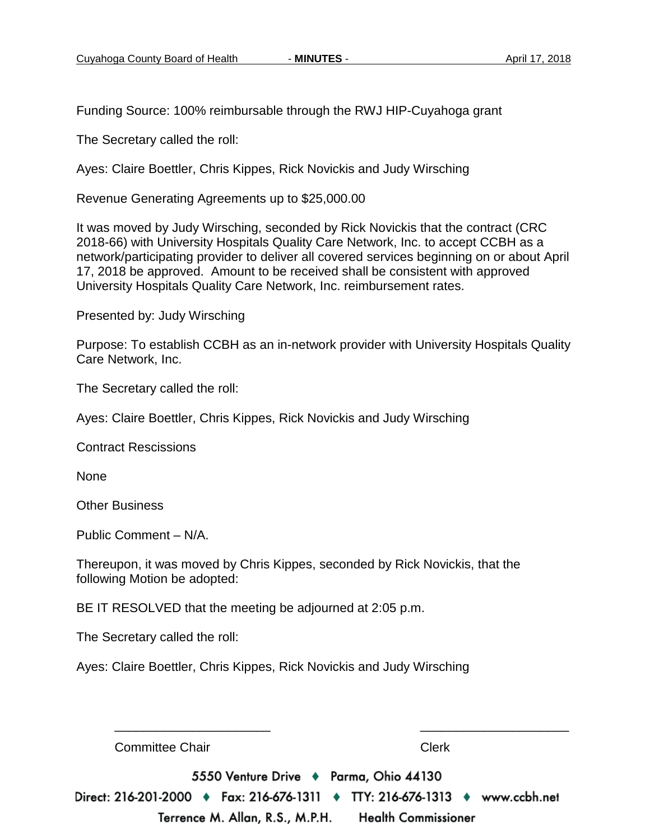Funding Source: 100% reimbursable through the RWJ HIP-Cuyahoga grant

The Secretary called the roll:

Ayes: Claire Boettler, Chris Kippes, Rick Novickis and Judy Wirsching

Revenue Generating Agreements up to \$25,000.00

It was moved by Judy Wirsching, seconded by Rick Novickis that the contract (CRC 2018-66) with University Hospitals Quality Care Network, Inc. to accept CCBH as a network/participating provider to deliver all covered services beginning on or about April 17, 2018 be approved. Amount to be received shall be consistent with approved University Hospitals Quality Care Network, Inc. reimbursement rates.

Presented by: Judy Wirsching

Purpose: To establish CCBH as an in-network provider with University Hospitals Quality Care Network, Inc.

The Secretary called the roll:

Ayes: Claire Boettler, Chris Kippes, Rick Novickis and Judy Wirsching

Contract Rescissions

None

Other Business

Public Comment – N/A.

Thereupon, it was moved by Chris Kippes, seconded by Rick Novickis, that the following Motion be adopted:

BE IT RESOLVED that the meeting be adjourned at 2:05 p.m.

The Secretary called the roll:

Ayes: Claire Boettler, Chris Kippes, Rick Novickis and Judy Wirsching

**Committee Chair** Clerk 5550 Venture Drive + Parma, Ohio 44130 Direct: 216-201-2000 ♦ Fax: 216-676-1311 ♦ TTY: 216-676-1313 ♦ www.ccbh.net Terrence M. Allan, R.S., M.P.H. Health Commissioner

\_\_\_\_\_\_\_\_\_\_\_\_\_\_\_\_\_\_\_\_\_\_ \_\_\_\_\_\_\_\_\_\_\_\_\_\_\_\_\_\_\_\_\_